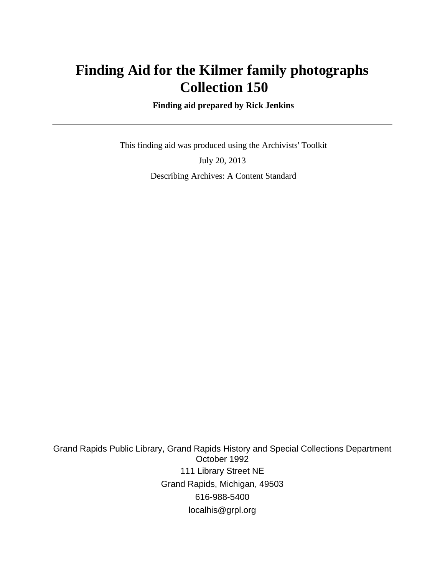# **Finding Aid for the Kilmer family photographs Collection 150**

 **Finding aid prepared by Rick Jenkins**

 This finding aid was produced using the Archivists' Toolkit July 20, 2013 Describing Archives: A Content Standard

Grand Rapids Public Library, Grand Rapids History and Special Collections Department October 1992 111 Library Street NE Grand Rapids, Michigan, 49503 616-988-5400 localhis@grpl.org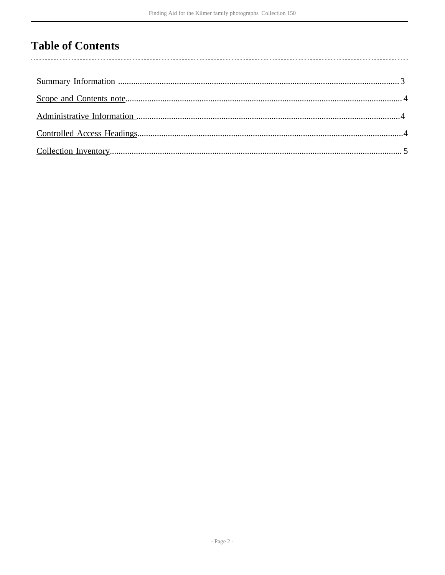## **Table of Contents**

 $\overline{\phantom{a}}$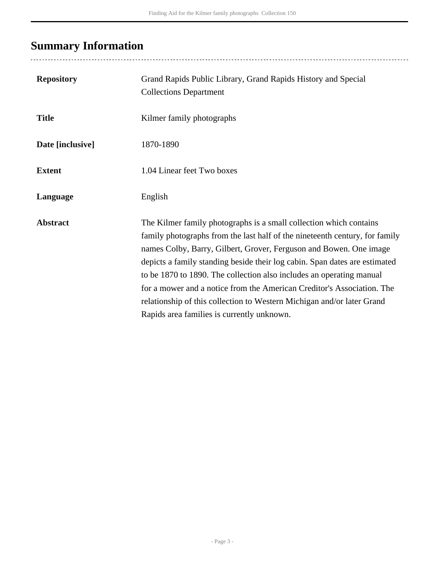# <span id="page-2-0"></span>**Summary Information**

| <b>Repository</b> | Grand Rapids Public Library, Grand Rapids History and Special<br><b>Collections Department</b>                                                                                                                                                                                                                                                                                                                                                                                                                                                                                  |
|-------------------|---------------------------------------------------------------------------------------------------------------------------------------------------------------------------------------------------------------------------------------------------------------------------------------------------------------------------------------------------------------------------------------------------------------------------------------------------------------------------------------------------------------------------------------------------------------------------------|
| <b>Title</b>      | Kilmer family photographs                                                                                                                                                                                                                                                                                                                                                                                                                                                                                                                                                       |
| Date [inclusive]  | 1870-1890                                                                                                                                                                                                                                                                                                                                                                                                                                                                                                                                                                       |
| <b>Extent</b>     | 1.04 Linear feet Two boxes                                                                                                                                                                                                                                                                                                                                                                                                                                                                                                                                                      |
| Language          | English                                                                                                                                                                                                                                                                                                                                                                                                                                                                                                                                                                         |
| <b>Abstract</b>   | The Kilmer family photographs is a small collection which contains<br>family photographs from the last half of the nineteenth century, for family<br>names Colby, Barry, Gilbert, Grover, Ferguson and Bowen. One image<br>depicts a family standing beside their log cabin. Span dates are estimated<br>to be 1870 to 1890. The collection also includes an operating manual<br>for a mower and a notice from the American Creditor's Association. The<br>relationship of this collection to Western Michigan and/or later Grand<br>Rapids area families is currently unknown. |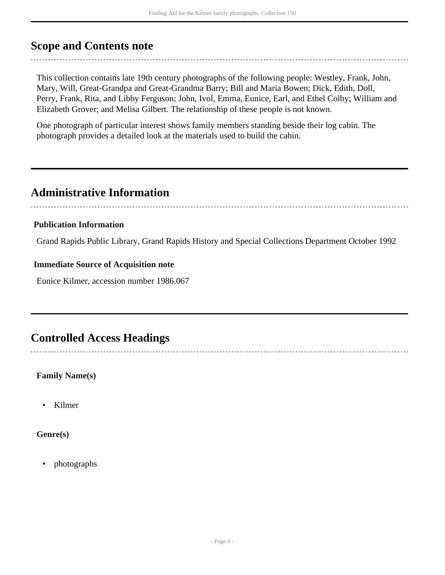## <span id="page-3-0"></span>**Scope and Contents note**

This collection contains late 19th century photographs of the following people: Westley, Frank, John, Mary, Will, Great-Grandpa and Great-Grandma Barry; Bill and Maria Bowen; Dick, Edith, Doll, Perry, Frank, Rita, and Libby Ferguson; John, Ivol, Emma, Eunice, Earl, and Ethel Colby; William and Elizabeth Grover; and Melisa Gilbert. The relationship of these people is not known.

One photograph of particular interest shows family members standing beside their log cabin. The photograph provides a detailed look at the materials used to build the cabin.

## <span id="page-3-1"></span>**Administrative Information**

#### **Publication Information**

Grand Rapids Public Library, Grand Rapids History and Special Collections Department October 1992

#### **Immediate Source of Acquisition note**

Eunice Kilmer, accession number 1986.067

### <span id="page-3-2"></span>**Controlled Access Headings**

**Family Name(s)**

• Kilmer

**Genre(s)**

• photographs